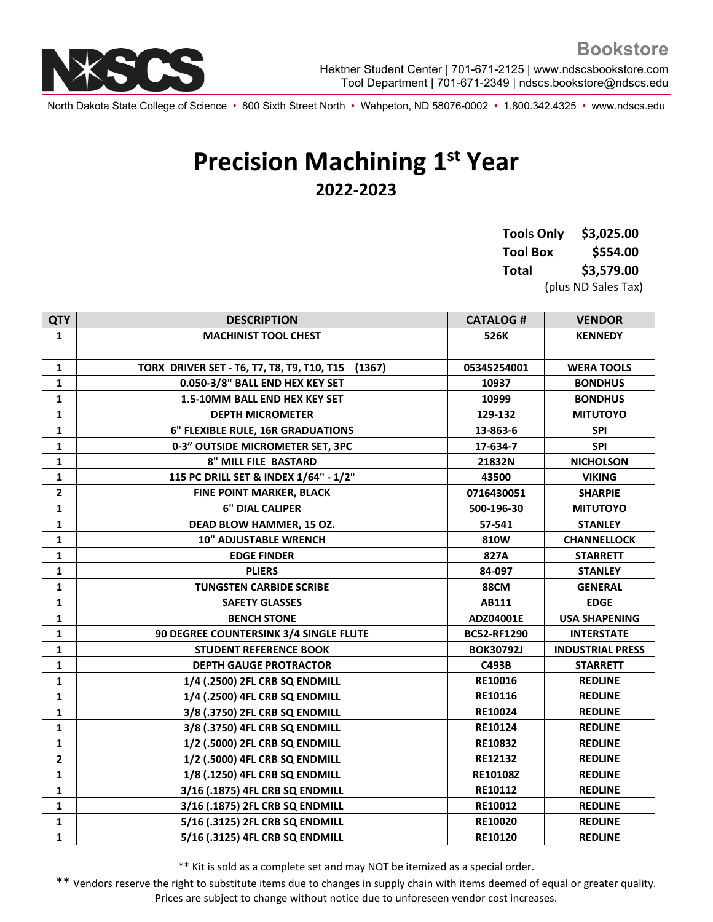North Dakota State College of Science • 800 Sixth Street North • Wahpeton, ND 58076-0002 • 1.800.342.4325 • www.ndscs.edu

## **Precision Machining 1st Year 2022-2023**

**Tools Only \$3,025.00 Tool Box \$554.00 Total \$3,579.00** (plus ND Sales Tax)

| <b>QTY</b>   | <b>DESCRIPTION</b>                                | <b>CATALOG#</b>    | <b>VENDOR</b>           |
|--------------|---------------------------------------------------|--------------------|-------------------------|
| 1            | <b>MACHINIST TOOL CHEST</b>                       | 526K               | <b>KENNEDY</b>          |
|              |                                                   |                    |                         |
| 1            | TORX DRIVER SET - T6, T7, T8, T9, T10, T15 (1367) | 05345254001        | <b>WERA TOOLS</b>       |
| 1            | 0.050-3/8" BALL END HEX KEY SET                   | 10937              | <b>BONDHUS</b>          |
| 1            | 1.5-10MM BALL END HEX KEY SET                     | 10999              | <b>BONDHUS</b>          |
| 1            | <b>DEPTH MICROMETER</b>                           | 129-132            | <b>MITUTOYO</b>         |
| $\mathbf{1}$ | 6" FLEXIBLE RULE, 16R GRADUATIONS                 | 13-863-6           | <b>SPI</b>              |
| 1            | 0-3" OUTSIDE MICROMETER SET, 3PC                  | 17-634-7           | <b>SPI</b>              |
| 1            | 8" MILL FILE BASTARD                              | 21832N             | <b>NICHOLSON</b>        |
| 1            | 115 PC DRILL SET & INDEX 1/64" - 1/2"             | 43500              | <b>VIKING</b>           |
| $\mathbf{2}$ | FINE POINT MARKER, BLACK                          | 0716430051         | <b>SHARPIE</b>          |
| $\mathbf{1}$ | <b>6" DIAL CALIPER</b>                            | 500-196-30         | <b>MITUTOYO</b>         |
| 1            | DEAD BLOW HAMMER, 15 OZ.                          | 57-541             | <b>STANLEY</b>          |
| 1            | <b>10" ADJUSTABLE WRENCH</b>                      | 810W               | <b>CHANNELLOCK</b>      |
| 1            | <b>EDGE FINDER</b>                                | 827A               | <b>STARRETT</b>         |
| 1            | <b>PLIERS</b>                                     | 84-097             | <b>STANLEY</b>          |
| 1            | <b>TUNGSTEN CARBIDE SCRIBE</b>                    | <b>88CM</b>        | <b>GENERAL</b>          |
| 1            | <b>SAFETY GLASSES</b>                             | AB111              | <b>EDGE</b>             |
| 1            | <b>BENCH STONE</b>                                | ADZ04001E          | <b>USA SHAPENING</b>    |
| 1            | 90 DEGREE COUNTERSINK 3/4 SINGLE FLUTE            | <b>BC52-RF1290</b> | <b>INTERSTATE</b>       |
| 1            | <b>STUDENT REFERENCE BOOK</b>                     | <b>BOK30792J</b>   | <b>INDUSTRIAL PRESS</b> |
| 1            | <b>DEPTH GAUGE PROTRACTOR</b>                     | C493B              | <b>STARRETT</b>         |
| 1            | 1/4 (.2500) 2FL CRB SQ ENDMILL                    | RE10016            | <b>REDLINE</b>          |
| 1            | 1/4 (.2500) 4FL CRB SQ ENDMILL                    | RE10116            | <b>REDLINE</b>          |
| 1            | 3/8 (.3750) 2FL CRB SQ ENDMILL                    | RE10024            | <b>REDLINE</b>          |
| 1            | 3/8 (.3750) 4FL CRB SQ ENDMILL                    | <b>RE10124</b>     | <b>REDLINE</b>          |
| 1            | 1/2 (.5000) 2FL CRB SQ ENDMILL                    | RE10832            | <b>REDLINE</b>          |
| $\mathbf{2}$ | 1/2 (.5000) 4FL CRB SQ ENDMILL                    | RE12132            | <b>REDLINE</b>          |
| $\mathbf{1}$ | 1/8 (.1250) 4FL CRB SQ ENDMILL                    | RE10108Z           | <b>REDLINE</b>          |
| 1            | 3/16 (.1875) 4FL CRB SQ ENDMILL                   | RE10112            | <b>REDLINE</b>          |
| 1            | 3/16 (.1875) 2FL CRB SQ ENDMILL                   | RE10012            | <b>REDLINE</b>          |
| 1            | 5/16 (.3125) 2FL CRB SQ ENDMILL                   | RE10020            | <b>REDLINE</b>          |
| $\mathbf{1}$ | 5/16 (.3125) 4FL CRB SQ ENDMILL                   | RE10120            | <b>REDLINE</b>          |

\*\* Kit is sold as a complete set and may NOT be itemized as a special order.

\*\* Vendors reserve the right to substitute items due to changes in supply chain with items deemed of equal or greater quality. Prices are subject to change without notice due to unforeseen vendor cost increases.